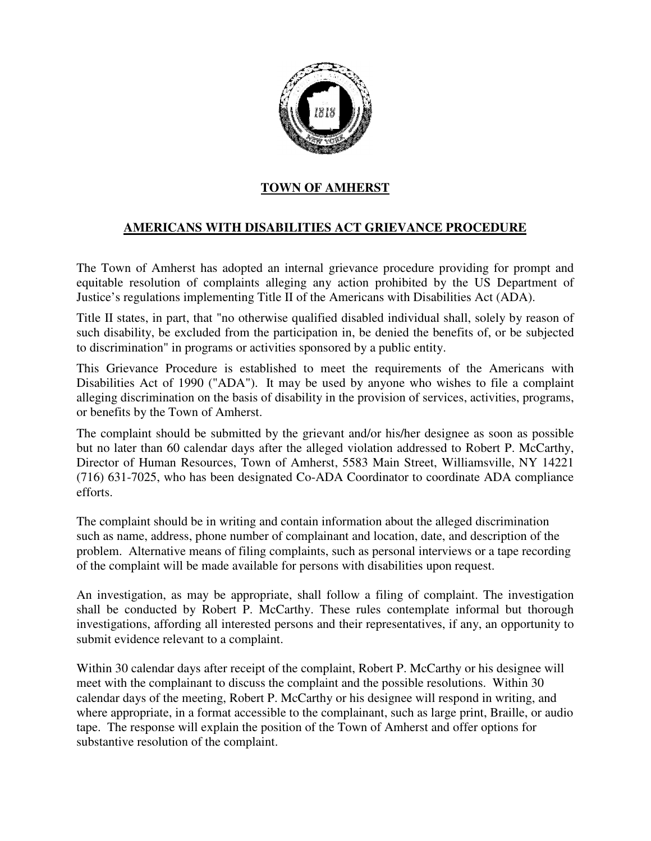

## **TOWN OF AMHERST**

## **AMERICANS WITH DISABILITIES ACT GRIEVANCE PROCEDURE**

The Town of Amherst has adopted an internal grievance procedure providing for prompt and equitable resolution of complaints alleging any action prohibited by the US Department of Justice's regulations implementing Title II of the Americans with Disabilities Act (ADA).

Title II states, in part, that "no otherwise qualified disabled individual shall, solely by reason of such disability, be excluded from the participation in, be denied the benefits of, or be subjected to discrimination" in programs or activities sponsored by a public entity.

This Grievance Procedure is established to meet the requirements of the Americans with Disabilities Act of 1990 ("ADA"). It may be used by anyone who wishes to file a complaint alleging discrimination on the basis of disability in the provision of services, activities, programs, or benefits by the Town of Amherst.

The complaint should be submitted by the grievant and/or his/her designee as soon as possible but no later than 60 calendar days after the alleged violation addressed to Robert P. McCarthy, Director of Human Resources, Town of Amherst, 5583 Main Street, Williamsville, NY 14221 (716) 631-7025, who has been designated Co-ADA Coordinator to coordinate ADA compliance efforts.

The complaint should be in writing and contain information about the alleged discrimination such as name, address, phone number of complainant and location, date, and description of the problem. Alternative means of filing complaints, such as personal interviews or a tape recording of the complaint will be made available for persons with disabilities upon request.

An investigation, as may be appropriate, shall follow a filing of complaint. The investigation shall be conducted by Robert P. McCarthy. These rules contemplate informal but thorough investigations, affording all interested persons and their representatives, if any, an opportunity to submit evidence relevant to a complaint.

Within 30 calendar days after receipt of the complaint, Robert P. McCarthy or his designee will meet with the complainant to discuss the complaint and the possible resolutions. Within 30 calendar days of the meeting, Robert P. McCarthy or his designee will respond in writing, and where appropriate, in a format accessible to the complainant, such as large print, Braille, or audio tape. The response will explain the position of the Town of Amherst and offer options for substantive resolution of the complaint.